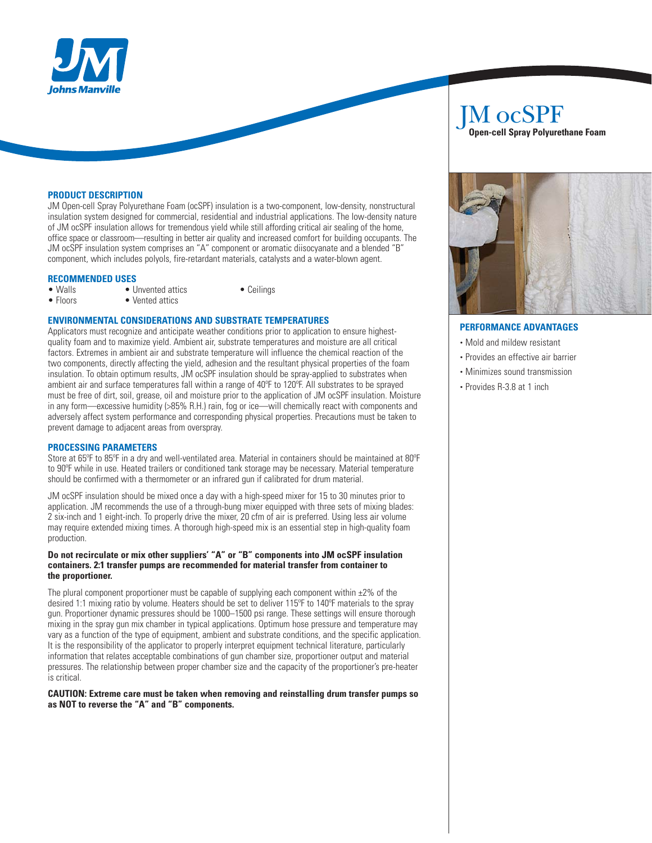

## **PRODUCT DESCRIPTION**

JM Open-cell Spray Polyurethane Foam (ocSPF) insulation is a two-component, low-density, nonstructural insulation system designed for commercial, residential and industrial applications. The low-density nature of JM ocSPF insulation allows for tremendous yield while still affording critical air sealing of the home, office space or classroom—resulting in better air quality and increased comfort for building occupants. The JM ocSPF insulation system comprises an "A" component or aromatic diisocyanate and a blended "B" component, which includes polyols, fire-retardant materials, catalysts and a water-blown agent.

# **RECOMMENDED USES**

- Walls Unvented attics Ceilings<br>• Floors Vented attics
- 

## **ENVIRONMENTAL CONSIDERATIONS AND SUBSTRATE TEMPERATURES**

 $\bullet$  Vented attics

Applicators must recognize and anticipate weather conditions prior to application to ensure highestquality foam and to maximize yield. Ambient air, substrate temperatures and moisture are all critical factors. Extremes in ambient air and substrate temperature will influence the chemical reaction of the two components, directly affecting the yield, adhesion and the resultant physical properties of the foam insulation. To obtain optimum results, JM ocSPF insulation should be spray-applied to substrates when ambient air and surface temperatures fall within a range of 40ºF to 120ºF. All substrates to be sprayed must be free of dirt, soil, grease, oil and moisture prior to the application of JM ocSPF insulation. Moisture in any form—excessive humidity (>85% R.H.) rain, fog or ice—will chemically react with components and adversely affect system performance and corresponding physical properties. Precautions must be taken to prevent damage to adjacent areas from overspray.

## **PROCESSING PARAMETERS**

Store at 65ºF to 85ºF in a dry and well-ventilated area. Material in containers should be maintained at 80ºF to 90ºF while in use. Heated trailers or conditioned tank storage may be necessary. Material temperature should be confirmed with a thermometer or an infrared gun if calibrated for drum material.

JM ocSPF insulation should be mixed once a day with a high-speed mixer for 15 to 30 minutes prior to application. JM recommends the use of a through-bung mixer equipped with three sets of mixing blades: 2 six-inch and 1 eight-inch. To properly drive the mixer, 20 cfm of air is preferred. Using less air volume may require extended mixing times. A thorough high-speed mix is an essential step in high-quality foam production.

#### **Do not recirculate or mix other suppliers' "A" or "B" components into JM ocSPF insulation containers. 2:1 transfer pumps are recommended for material transfer from container to the proportioner.**

The plural component proportioner must be capable of supplying each component within  $\pm 2\%$  of the desired 1:1 mixing ratio by volume. Heaters should be set to deliver 115ºF to 140ºF materials to the spray gun. Proportioner dynamic pressures should be 1000–1500 psi range. These settings will ensure thorough mixing in the spray gun mix chamber in typical applications. Optimum hose pressure and temperature may vary as a function of the type of equipment, ambient and substrate conditions, and the specific application. It is the responsibility of the applicator to properly interpret equipment technical literature, particularly information that relates acceptable combinations of gun chamber size, proportioner output and material pressures. The relationship between proper chamber size and the capacity of the proportioner's pre-heater is critical.

**CAUTION: Extreme care must be taken when removing and reinstalling drum transfer pumps so as NOT to reverse the "A" and "B" components.**

## JM ocSPF  **Open-cell Spray Polyurethane Foam**

## **PERFORMANCE ADVANTAGES**

- Mold and mildew resistant
- Provides an effective air barrier
- Minimizes sound transmission
- Provides R-3.8 at 1 inch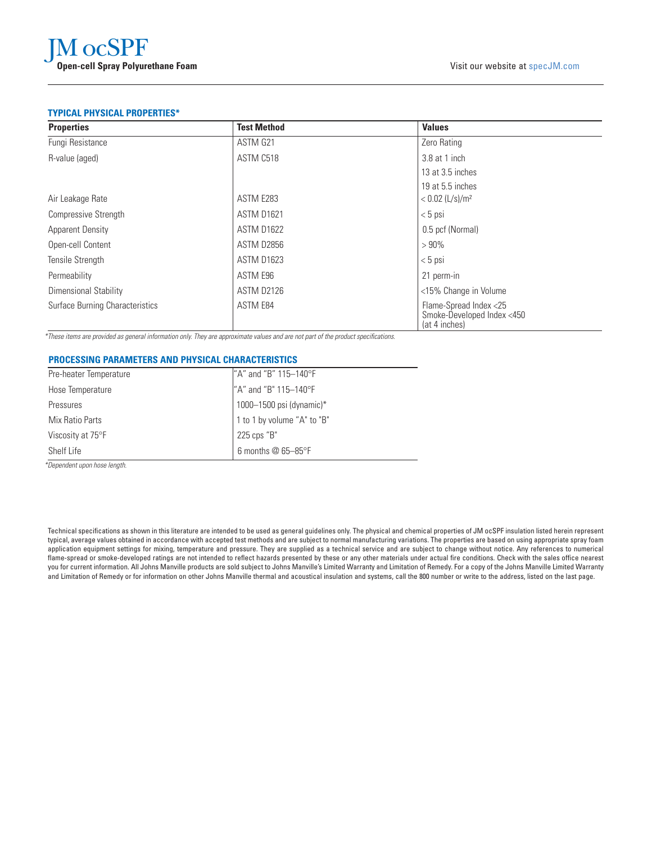## **TYPICAL PHYSICAL PROPERTIES\***

| <b>Properties</b>               | <b>Test Method</b> | <b>Values</b>                                                         |
|---------------------------------|--------------------|-----------------------------------------------------------------------|
| Fungi Resistance                | ASTM G21           | Zero Rating                                                           |
| R-value (aged)                  | ASTM C518          | 3.8 at 1 inch                                                         |
|                                 |                    | 13 at 3.5 inches                                                      |
|                                 |                    | 19 at 5.5 inches                                                      |
| Air Leakage Rate                | ASTM E283          | $< 0.02$ (L/s)/m <sup>2</sup>                                         |
| <b>Compressive Strength</b>     | ASTM D1621         | $< 5$ psi                                                             |
| <b>Apparent Density</b>         | <b>ASTM D1622</b>  | 0.5 pcf (Normal)                                                      |
| Open-cell Content               | ASTM D2856         | >90%                                                                  |
| Tensile Strength                | <b>ASTM D1623</b>  | $< 5$ psi                                                             |
| Permeability                    | ASTM E96           | 21 perm-in                                                            |
| Dimensional Stability           | <b>ASTM D2126</b>  | <15% Change in Volume                                                 |
| Surface Burning Characteristics | ASTM E84           | Flame-Spread Index <25<br>Smoke-Developed Index <450<br>(at 4 inches) |

\*These items are provided as general information only. They are approximate values and are not part of the product specifications.

## **PROCESSING PARAMETERS AND PHYSICAL CHARACTERISTICS**

| Pre-heater Temperature | "A" and "B" 115-140°F             |
|------------------------|-----------------------------------|
| Hose Temperature       | "A" and "B" 115-140°F             |
| Pressures              | 1000-1500 psi (dynamic)*          |
| Mix Ratio Parts        | I 1 to 1 by volume "A" to "B"     |
| Viscosity at 75°F      | 225 cps "B"                       |
| Shelf Life             | 6 months $@$ 65-85 ${}^{\circ}$ F |

\*Dependent upon hose length.

Technical specifications as shown in this literature are intended to be used as general guidelines only. The physical and chemical properties of JM ocSPF insulation listed herein represent typical, average values obtained in accordance with accepted test methods and are subject to normal manufacturing variations. The properties are based on using appropriate spray foam application equipment settings for mixing, temperature and pressure. They are supplied as a technical service and are subject to change without notice. Any references to numerical flame-spread or smoke-developed ratings are not intended to reflect hazards presented by these or any other materials under actual fire conditions. Check with the sales office nearest you for current information. All Johns Manville products are sold subject to Johns Manville's Limited Warranty and Limitation of Remedy. For a copy of the Johns Manville Limited Warranty and Limitation of Remedy or for information on other Johns Manville thermal and acoustical insulation and systems, call the 800 number or write to the address, listed on the last page.